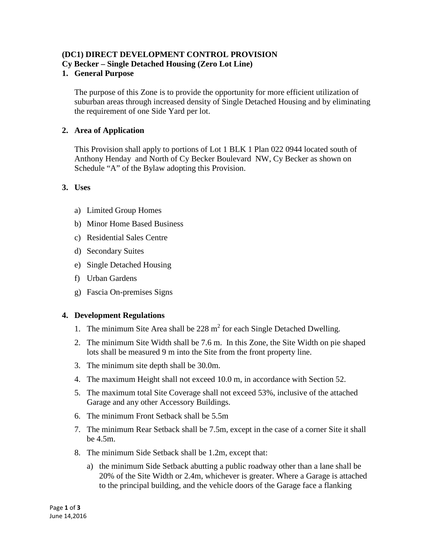# **(DC1) DIRECT DEVELOPMENT CONTROL PROVISION**

**Cy Becker – Single Detached Housing (Zero Lot Line)**

### **1. General Purpose**

The purpose of this Zone is to provide the opportunity for more efficient utilization of suburban areas through increased density of Single Detached Housing and by eliminating the requirement of one Side Yard per lot.

## **2. Area of Application**

This Provision shall apply to portions of Lot 1 BLK 1 Plan 022 0944 located south of Anthony Henday and North of Cy Becker Boulevard NW, Cy Becker as shown on Schedule "A" of the Bylaw adopting this Provision.

### **3. Uses**

- a) Limited Group Homes
- b) Minor Home Based Business
- c) Residential Sales Centre
- d) Secondary Suites
- e) Single Detached Housing
- f) Urban Gardens
- g) Fascia On-premises Signs

### **4. Development Regulations**

- 1. The minimum Site Area shall be  $228 \text{ m}^2$  for each Single Detached Dwelling.
- 2. The minimum Site Width shall be 7.6 m. In this Zone, the Site Width on pie shaped lots shall be measured 9 m into the Site from the front property line.
- 3. The minimum site depth shall be 30.0m.
- 4. The maximum Height shall not exceed 10.0 m, in accordance with Section 52.
- 5. The maximum total Site Coverage shall not exceed 53%, inclusive of the attached Garage and any other Accessory Buildings.
- 6. The minimum Front Setback shall be 5.5m
- 7. The minimum Rear Setback shall be 7.5m, except in the case of a corner Site it shall be 4.5m.
- 8. The minimum Side Setback shall be 1.2m, except that:
	- a) the minimum Side Setback abutting a public roadway other than a lane shall be 20% of the Site Width or 2.4m, whichever is greater. Where a Garage is attached to the principal building, and the vehicle doors of the Garage face a flanking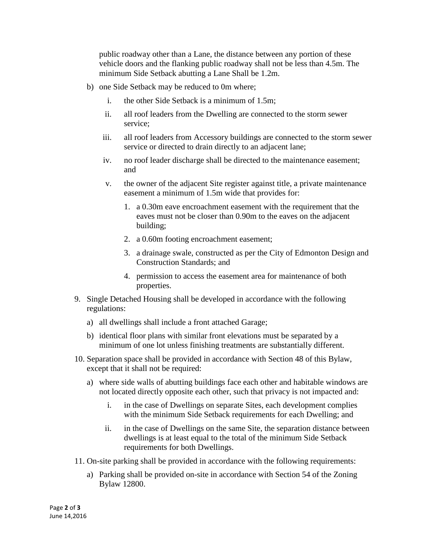public roadway other than a Lane, the distance between any portion of these vehicle doors and the flanking public roadway shall not be less than 4.5m. The minimum Side Setback abutting a Lane Shall be 1.2m.

- b) one Side Setback may be reduced to 0m where;
	- i. the other Side Setback is a minimum of 1.5m;
	- ii. all roof leaders from the Dwelling are connected to the storm sewer service;
	- iii. all roof leaders from Accessory buildings are connected to the storm sewer service or directed to drain directly to an adjacent lane;
	- iv. no roof leader discharge shall be directed to the maintenance easement; and
	- v. the owner of the adjacent Site register against title, a private maintenance easement a minimum of 1.5m wide that provides for:
		- 1. a 0.30m eave encroachment easement with the requirement that the eaves must not be closer than 0.90m to the eaves on the adjacent building;
		- 2. a 0.60m footing encroachment easement;
		- 3. a drainage swale, constructed as per the City of Edmonton Design and Construction Standards; and
		- 4. permission to access the easement area for maintenance of both properties.
- 9. Single Detached Housing shall be developed in accordance with the following regulations:
	- a) all dwellings shall include a front attached Garage;
	- b) identical floor plans with similar front elevations must be separated by a minimum of one lot unless finishing treatments are substantially different.
- 10. Separation space shall be provided in accordance with Section 48 of this Bylaw, except that it shall not be required:
	- a) where side walls of abutting buildings face each other and habitable windows are not located directly opposite each other, such that privacy is not impacted and:
		- i. in the case of Dwellings on separate Sites, each development complies with the minimum Side Setback requirements for each Dwelling; and
		- ii. in the case of Dwellings on the same Site, the separation distance between dwellings is at least equal to the total of the minimum Side Setback requirements for both Dwellings.
- 11. On-site parking shall be provided in accordance with the following requirements:
	- a) Parking shall be provided on-site in accordance with Section 54 of the Zoning Bylaw 12800.